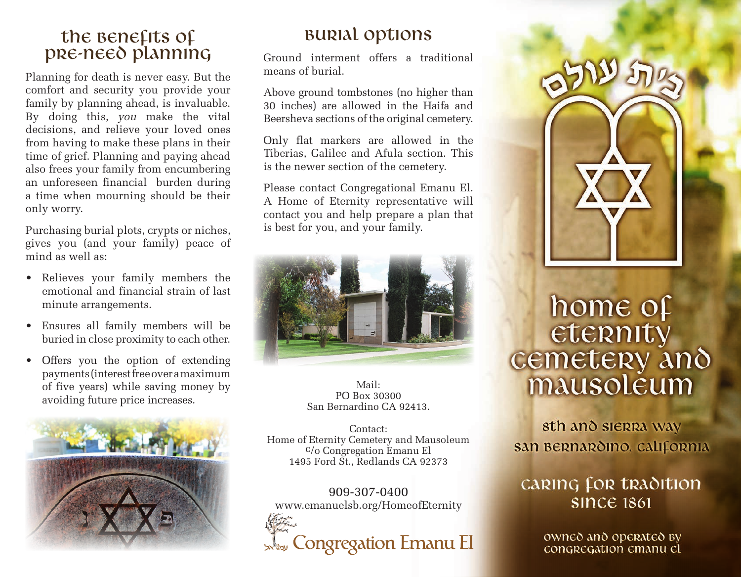#### the **Benefits** of pre-need planning

Planning for death is never easy. But the comfort and security you provide your family by planning ahead, is invaluable. By doing this, *you* make the vital decisions, and relieve your loved ones from having to make these plans in their time of grief. Planning and paying ahead also frees your family from encumbering an unforeseen financial burden during a time when mourning should be their only worry.

Purchasing burial plots, crypts or niches, gives you (and your family) peace of mind as well as:

- Relieves your family members the emotional and financial strain of last minute arrangements.
- Ensures all family members will be buried in close proximity to each other.
- Offers you the option of extending payments (interest free over a maximum of five years) while saving money by avoiding future price increases.



## Burial options

Ground interment offers a traditional means of burial.

Above ground tombstones (no higher than 30 inches) are allowed in the Haifa and Beersheva sections of the original cemetery.

Only flat markers are allowed in the Tiberias, Galilee and Afula section. This is the newer section of the cemetery.

Please contact Congregational Emanu El. A Home of Eternity representative will contact you and help prepare a plan that is best for you, and your family.



Mail: PO Box 30300 San Bernardino CA 92413.

Contact: Home of Eternity Cemetery and Mausoleum c/o Congregation Emanu El 1495 Ford St., Redlands CA 92373

909-307-0400 www.emanuelsb.org/HomeofEternity





# home of eternity cemetery and mausoleum

sth and sierra way san Bernardino, california

### **CARING FOR TRADITION SINCE 1861**

owned and operated by congregation emanu el